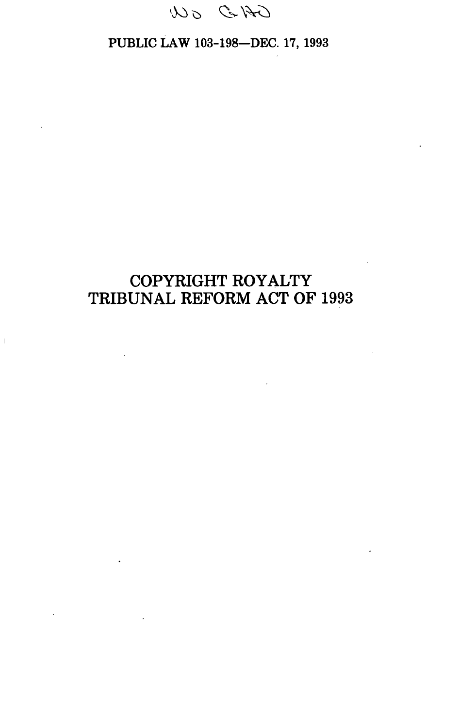

# PUBLIC LAW 103-198—DEC. 17, 1993

# **COPYRIGHT ROYALTY TRIBUNAL REFORM ACT OF 1993**

 $\sim 10^{11}$  km

 $\overline{1}$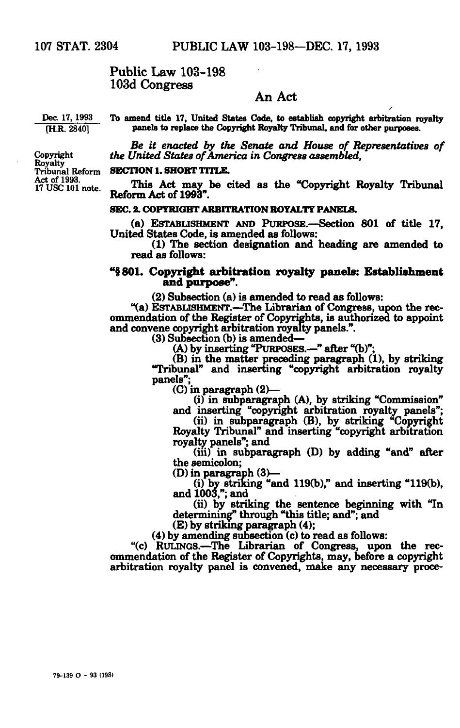# Public Law 103-198 103d Congress

# An Act

Dec. 17, 1993 To amend title 17, United States Code, to establish copyright arbitration royalty<br> **TH.R. 28401** panels to replace the Copyright Royalty Tribunal, and for other purposes. panels to replace the Copyright Royalty Tribunal, and for other purposes.

*Be it enacted by the Senate and House of Representatives of*  Copyright *the United States of America in Congress assembled,* 

17 USC 101 note. **Thus Act may be cited as the "Copyright Royalty Tribunal"**<br>Reform Act of 1993"

# SEC. 2. COPYRIGHT ARBITRATION ROYALTY PANELS.

SEC. 2. COPYRIGHT ARBITRATION ROYALTY PANELS. (a) ESTABLISHMENT AND PURPOSE.—Section 801 of title 17, United States Code, is amended as follows:

(1) The section designation and heading are amended to read as follows:

# **<sup>M</sup>§801. Copyright arbitration royalty panels: Establishment and purpose".**

(2) Subsection (a) is amended to read as follows:

"(a) ESTABLISHMENT.—The Librarian of Congress, upon the recommendation of the Register of Copyrights, is authorized to appoint and convene copyright arbitration royalty panels.".

(3) Subsection (b) is amended—

(A) by inserting "PURPOSES.—" after "(b)";

(B) in the matter preceding paragraph (1), by striking Tribunal" and inserting "copyright arbitration royalty panels";

(C) in paragraph (2)—

(i) in subparagraph (A), by striking "Commission"

and inserting "copyright arbitration royalty panels";

(ii) in subparagraph (B), by striking "Copyright Royalty Tribunal" and inserting "copyright arbitration royalty panels"; and

 $(iii)$  in subparagraph  $(D)$  by adding "and" after the semicolon;

(D) in paragraph (3)—

(i) by striking "and 119(b)," and inserting "119(b), and 1003,"; and

(ii) by striking the sentence beginning with "In determining" through "this title; and"; and

(E) by striking paragraph (4);

(4) by amending subsection (c) to read as follows:

"(c) RULINGS.—The Librarian of Congress, upon the recommendation of the Register of Copyrights, may, before a copyright arbitration royalty panel is convened, make any necessary proce-

Tribunal Reform Tribunal Reform SECTION 1. SHORT TITLE.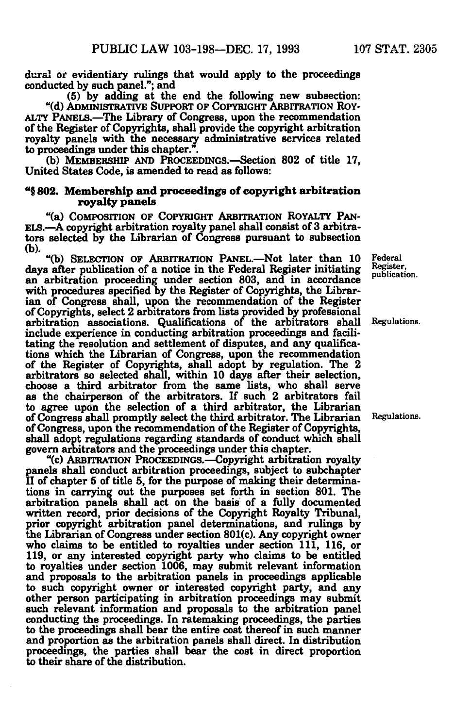**dural or evidentiary rulings that would apply to the proceedings conducted by such panel."; and** 

**(5) by adding at the end the following new subsection: "(d) ADMINISTRATIVE SUPPORT OP COPYRIGHT ARBITRATION ROY-ALTY PANELS.—The Library of Congress, upon the recommendation of the Register of Copyrights, shall provide the copyright arbitration royalty panels with the necessary administrative services related to proceedings under this chapter.".** 

**(b) MEMBERSHIP AND PROCEEDINGS.—Section 802 of title 17, United States Code, is amended to read as follows:** 

# **"§ 802. Membership and proceedings of copyright arbitration royalty panels**

**"(a) COMPOSITION OF COPYRIGHT ARBITRATION ROYALTY PAN-ELS.—A copyright arbitration royalty panel shall consist of 3 arbitrators selected by the Librarian of Congress pursuant to subsection (b).** 

**"(b) SELECTION OF ARBITRATION PANEL.—Not later than 10 Federal**  days after publication of a notice in the Federal Register initiating <sup>Register</sup>, publication. **an arbitration proceeding under section 803, and in accordance**  with procedures specified by the Register of Copyrights, the Librar**ian of Congress shall, upon the recommendation of the Register of Copyrights, select 2 arbitrators from lists provided by professional arbitration associations. Qualifications of the arbitrators shall Regulations. include experience in conducting arbitration proceedings and facilitating the resolution and settlement of disputes, and any qualifications which the Librarian of Congress, upon the recommendation of the Register of Copyrights, shall adopt by regulation. The 2 arbitrators so selected shall, within 10 days after their selection, choose a third arbitrator from the same lists, who shall serve as the chairperson of the arbitrators. If such 2 arbitrators fail to agree upon the selection of a third arbitrator, the Librarian of Congress shall promptly select the third arbitrator. The Librarian Regulations. of Congress, upon the recommendation of the Register of Copyrights, shall adopt regulations regarding standards of conduct which shall govern arbitrators and the proceedings under this chapter.** 

**"(c) ARBITRATION PROCEEDINGS.—Copyright arbitration royalty panels shall conduct arbitration proceedings, subject to subchapter II of chapter 5 of title 5, for the purpose of making their determinations in carrying out the purposes set forth in section 801. The arbitration panels shall act on the basis of a fully documented written record, prior decisions of the Copyright Royalty Tribunal, prior copyright arbitration panel determinations, and rulings by the Librarian of Congress under section 801(c). Any copyright owner who claims to be entitled to royalties under section 111, 116, or 119, or any interested copyright party who claims to be entitled to royalties under section 1006, may submit relevant information and proposals to the arbitration panels in proceedings applicable to such copyright owner or interested copyright party, and any other person participating in arbitration proceedings may submit such relevant information and proposals to the arbitration panel conducting the proceedings. In ratemaking proceedings, the parties to the proceedings shall bear the entire cost thereof in such manner and proportion as the arbitration panels shall direct. In distribution proceedings, the parties shall bear the cost in direct proportion to their share of the distribution.**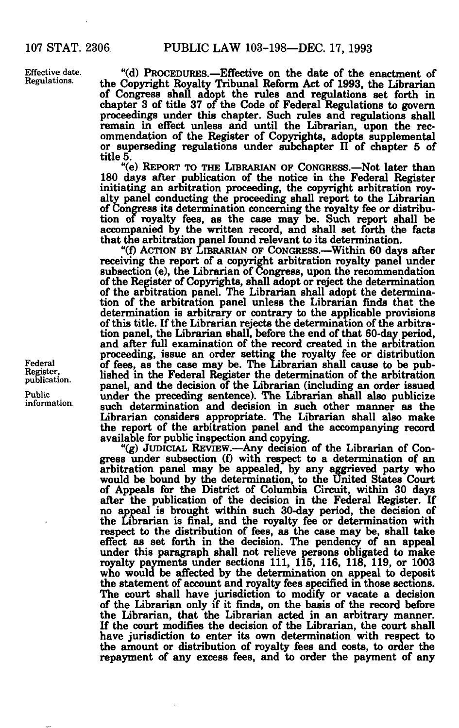Effective date. Regulations.

**"(d) PROCEDURES.—Effective on the date of the enactment of the Copyright Royalty Tribunal Reform Act of 1993, the Librarian of Congress shall adopt the rules and regulations set forth in chapter 3 of title 37 of the Code of Federal Regulations to govern proceedings under this chapter. Such rules and regulations shall remain in effect unless and until the Librarian, upon the recommendation of the Register of Copyrights, adopts supplemental or superseding regulations under subchapter II of chapter 5 of title 5.** 

**"(e) REPORT TO THE LIBRARIAN OF CONGRESS.—Not later than 180 days after publication of the notice in the Federal Register initiating an arbitration proceeding, the copyright arbitration royalty panel conducting the proceeding shall report to the Librarian of Congress its determination concerning the royalty fee or distribution of royalty fees, as the case may be. Such report shall be accompanied by the written record, and shall set forth the facts that the arbitration panel found relevant to its determination.** 

**"(f) ACTION BY LIBRARIAN OF CONGRESS.—Within 60 days after receiving the report of a copyright arbitration royalty panel under subsection (e), the Librarian of Congress, upon the recommendation of the Register of Copyrights, shall adopt or reject the determination of the arbitration panel. The Librarian shall adopt the determination of the arbitration panel unless the Librarian finds that the determination is arbitrary or contrary to the applicable provisions of this title. If the Librarian rejects the determination of the arbitration panel, the Librarian shall, before the end of that 60-day period, and after full examination of the record created in the arbitration proceeding, issue an order setting the royalty fee or distribution of fees, as the case may be. The Librarian shall cause to be published in the Federal Register the determination of the arbitration panel, and the decision of the Librarian (including an order issued under the preceding sentence). The Librarian shall also publicize such determination and decision in such other manner as the Librarian considers appropriate. The Librarian shall also make the report of the arbitration panel and the accompanying record available for public inspection and copying.** 

**"(g) JUDICIAL REVIEW.—Any decision of the Librarian of Congress under subsection (f) with respect to a determination of an arbitration panel may be appealed, by any aggrieved party who would be bound by the determination, to the United States Court of Appeals for the District of Columbia Circuit, within 30 days after the publication of the decision in the Federal Register. If no appeal is brought within such 30-day period, the decision of the Librarian is final, and the royalty fee or determination with respect to the distribution of fees, as the case may be, shall take effect as set forth in the decision. The pendency of an appeal under this paragraph shall not relieve persons obligated to make royalty payments under sections 111, 115, 116, 118, 119, or 1003 who would be affected by the determination on appeal to deposit the statement of account and royalty fees specified in those sections. The court shall have jurisdiction to modify or vacate a decision of the Librarian only if it finds, on the basis of the record before the Librarian, that the Librarian acted in an arbitrary manner. If the court modifies the decision of the Librarian, the court shall have jurisdiction to enter its own determination with respect to the amount or distribution of royalty fees and costs, to order the repayment of any excess fees, and to order the payment of any** 

Federal Register, publication.

Public information.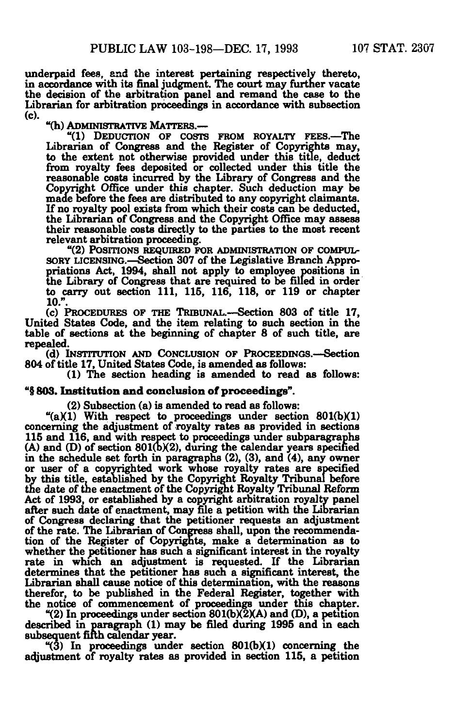underpaid fees, and the interest pertaining respectively thereto, in accordance with its final judgment. The court may further vacate the decision of the arbitration panel and remand the case to the Librarian for arbitration proceedings in accordance with subsection (O.

"(h) ADMINISTRATIVE MATTERS.—

"(1) DEDUCTION OF COSTS FROM ROYALTY FEES.—The Librarian of Congress and the Register of Copyrights may, to the extent not otherwise provided under this title, deduct from royalty fees deposited or collected under this title the reasonable costs incurred by the Library of Congress and the Copyright Office under this chapter. Such deduction may be made before the fees are distributed to any copyright claimants. If no royalty pool exists from which their costs can be deducted, the Librarian of Congress.and the Copyright Office may assess their reasonable costs directly to the parties to the most recent relevant arbitration proceeding.

"(2) POSITIONS REQUIRED FOR ADMINISTRATION OF COMPUL-SORY LICENSING.—Section 307 of the Legislative Branch Appropriations Act, 1994, shall not apply to employee positions in the Library of Congress that are required to be filled in order to carry out section 111, 115, 116, 118, or 119 or chapter 10.".

(c) PROCEDURES OF THE TRIBUNAL.—Section 803 of title 17, United States Code, and the item relating to such section in the table of sections at the beginning of chapter 8 of such title, are repealed.

(d) INSTITUTION AND CONCLUSION OF PROCEEDINGS.—Section 804 of title 17, United States Code, is amended as follows:

(1) The section heading is amended to read as follows:

# "§ 803. **Institution and** conclusion of proceedings".

(2) Subsection (a) is amended to read as follows:

" $(a)(1)$  With respect to proceedings under section 801(b)(1) concerning the adjustment of royalty rates as provided in sections 115 and 116, and with respect to proceedings under subparagraphs  $(A)$  and  $(D)$  of section 801 $(b)(2)$ , during the calendar years specified in the schedule set forth in paragraphs (2), (3), and (4), any owner or user of a copyrighted work whose royalty rates are specified by this title, established by the Copyright Royalty Tribunal before the date of the enactment of the Copyright Royalty Tribunal Reform Act of 1993, or established by a copyright arbitration royalty panel after such date of enactment, may file a petition with the Librarian of Congress declaring that the petitioner requests an adjustment of the rate. The Librarian of Congress shall, upon the recommendation of the Register of Copyrights, make a determination as to whether the petitioner has such a significant interest in the royalty rate in which an adjustment is requested. If the Librarian determines that the petitioner has such a significant interest, the Librarian shall cause notice of this determination, with the reasons therefor, to be published in the Federal Register, together with the notice of commencement of proceedings under this chapter.

 $(2)$  In proceedings under section 801(b) $(2)(A)$  and (D), a petition described in paragraph (1) may be filed during 1995 and in each subsequent firth calendar year.

"(3) In proceedings under section 801(bXD concerning the adjustment of royalty rates as provided in section 115, a petition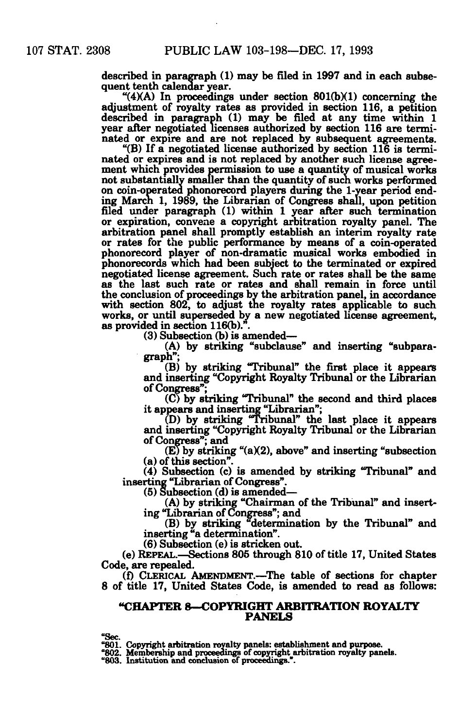described in paragraph (1) may be filed in 1997 and in each subsequent tenth calendar year.

" $(4)(A)$  In proceedings under section 801(b)(1) concerning the adjustment of royalty rates as provided in section 116, a petition described in paragraph (1) may be filed at any time within 1 year after negotiated licenses authorized by section 116 are terminated or expire and are not replaced by subsequent agreements.

"(B) If a negotiated license authorized by section 116 is terminated or expires and is not replaced by another such license agreement which provides permission to use a quantity of musical works not substantially smaller than the quantity of such works performed on coin-operated phonorecord players during the 1-year period ending March 1, 1989, the Librarian of Congress shall, upon petition filed under paragraph (1) within 1 year after such termination or expiration, convene a copyright arbitration royalty panel. The arbitration panel shall promptly establish an interim royalty rate or rates for the public performance by means of a coin-operated phonorecord player of non-dramatic musical works embodied in phonorecords which had been subject to the terminated or expired negotiated license agreement. Such rate or rates shall be the same as the last such rate or rates and shall remain in force until the conclusion of proceedings by the arbitration panel, in accordance with section 802, to adjust the royalty rates applicable to such works, or until superseded by a new negotiated license agreement, as provided in section  $116(b)$ .".

(3) Subsection (b) is amended—

(A) by striking "subclause" and inserting "subparagraph";

(B) by striking "Tribunal" the first place it appears and inserting "Copyright Royalty Tribunal or the Librarian of Congress";

(C) by striking "Tribunal" the second and third places it appears and inserting "Librarian";

(D) by striking "Tribunal" the last place it appears and inserting "Copyright Royalty Tribunal or the Librarian of Congress"; and

 $(E)$  by striking " $(a)(2)$ , above" and inserting "subsection" (a) of this section".

(4) Subsection (c) is amended by striking "Tribunal" and inserting "Librarian of Congress".

(5) Subsection (d) is amended—

(A) by striking "Chairman of the Tribunal" and inserting "Librarian of Congress"; and

(B) by striking "determination by the Tribunal" and inserting "a determination".

(6) Subsection (e) is stricken out.

(e) REPEAL.—Sections 805 through 810 of title 17, United States Code, are repealed.

(f) CLERICAL AMENDMENT.—The table of sections for chapter 8 of title 17, United States Code, is amended to read as follows:

## **"CHAPTER 8—COPYRIGHT ARBITRATION ROYALTY PANELS**

**•Sec. "801. Copyright arbitration royalty panels: establishment and purpose.** 

**"802. Membership and proceedings of copyright arbitration royalty panels. "803. Institution and conclusion of proceedings.".**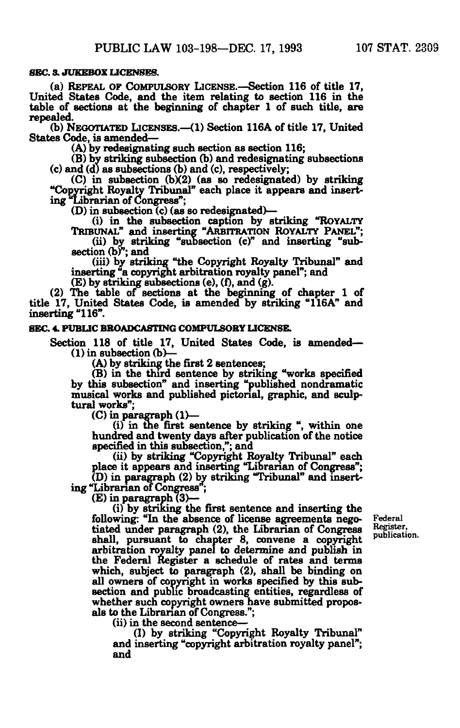# **SEC. 3. JUKEBOX LICENSES.**

(a) REPEAL OF COMPULSORY LICENSE.—Section 116 of title 17, **United States Code, and the item relating to section 116 in the table of sections at the beginning of chapter 1 of such title, are repealed.** 

**(b) NEGOTIATED LICENSES.—<1) Section 116A of title 17, United States Code, is amended—** 

**(A) by redesignating Buch section as section 116;** 

**(B) by striking subsection (b) and redesignating subsections (c) and (d) as subsections (b) and (c), respectively;** 

**(C) in subsection (bX2) (as so redesignated) by striking "Copyright Royalty Tribunal" each place it appears and inserting ^Librarian of Congress'';** 

**(D) in subsection (c) (as so redesignated)—** 

**(i) in the subsection caption by striking "ROYALTY TRIBUNAL" and inserting "ARBITRATION ROYALTY PANEL"; (ii) by striking "subsection (c)" and inserting "sub-**

section (b)<sup>"</sup>; and

**(iii) by striking "the Copyright Royalty Tribunal" and inserting "a copyright arbitration royalty panel"; and** 

**(E) by striking subsections (e), (f), and (g).** 

**(2) The table of sections at the beginning of chapter 1 of title 17, United States Code, is amended by striking "116A" and inserting "116".** 

### **SEC. 4. PUBLIC BROADCASTING COMPULSORY LICENSE.**

**Section 118 of title 17, United States Code, is amended— (1) in subsection (b>—** 

**(A) by striking the first 2 sentences;** 

**(B) in the third sentence by striking "works specified by this subsection" and inserting "published nondramatic musical works and published pictorial, graphic, and sculptural works";** 

**(C) in paragraph (1)—** 

**(i) in the first sentence by striking ", within one hundred and twenty days after publication of the notice specified in this subsection,"; and** 

**(ii) by striking "Copyright Royalty Tribunal" each place it appears and inserting "Librarian of Congress"; (D) in paragraph (2) by striking "Tribunal" and insert-**

**ing "Librarian of Congress ;** 

**(E) in paragraph (3)—** 

**(i) by striking the first sentence and inserting the following: "In the absence of license agreements nego- Federal tiated under paragraph (2), the Librarian of Congress shall, pursuant to chapter 8, convene a copyright arbitration royalty panel to determine and publish in the Federal Register a schedule of rates and terms which, subject to paragraph (2), shall be binding on all owners of copyright in works specified by this subsection and public broadcasting entities, regardless of whether such copyright owners nave submitted propos**als to the Librarian of Congress.";

**(ii) in the second sentence—** 

**(I) by striking "Copyright Royalty Tribunal" and inserting "copyright arbitration royalty panel"; and** 

 **Refj?tej:-'**   $p$ ublication.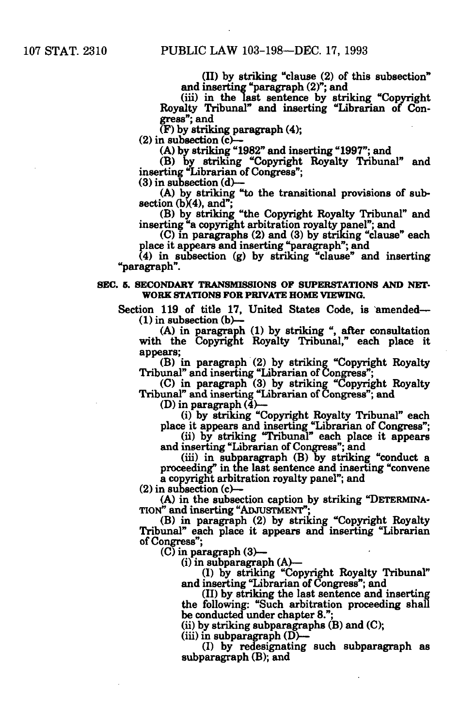**(II) by striking "clause (2) of this subsection" and inserting "paragraph (2)"; and** 

**(iii) in the last sentence by striking "Copyright Royalty Tribunal" and inserting "Librarian of Congress"; and** 

**(F) by striking paragraph (4);** 

**(2) in subsection (c)—** 

**(A) by striking "1982" and inserting "1997"; and** 

**(B) by striking "Copyright Royalty Tribunal" and inserting 'librarian of Congress";** 

**(3) in subsection (d)—** 

**(A) by striking "to the transitional provisions of sub**section (b)(4), and";

**(B) by striking "the Copyright Royalty Tribunal" and inserting "a copyright arbitration royalty panel"; and** 

**(C) in paragraphs (2) and (3) by striking "clause" each place it appears and inserting "paragraph"; and** 

**(4) in subsection (g) by striking "clause" and inserting "paragraph".** 

## **SEC. 5. SECONDARY TRANSMISSIONS OF SUPERSTATIONS AND NET-WORK STATIONS FOR PRIVATE HOME VIEWING.**

**Section 119 of title 17, United States Code, is amended— (1) in subsection (b)—** 

**(A) in paragraph (1) by striking ", after consultation with the Copyright Royalty Tribunal," each place it appears;** 

**(B) in paragraph (2) by striking "Copyright Royalty Tribunal" and inserting "Librarian of Congress";** 

**(C) in paragraph (3) by striking "Copyright Royalty Tribunal" and inserting "Librarian of Congress"; and** 

**(D) in paragraph (4)—** 

**(i) by striking "Copyright Royalty Tribunal" each** 

**place it appears and inserting "Librarian of Congress"; (ii) by striking "Tribunal" each place it appears** 

**and inserting "Librarian of Congress"; and** 

**(iii) in subparagraph (B) by striking "conduct a proceeding" in the last sentence and inserting "convene a copyright arbitration royalty panel"; and** 

**(2) in subsection (c)—** 

**(A) in the subsection caption by striking "DETERMINA-TION" and inserting "ADJUSTMENT";** 

**(B) in paragraph (2) by striking "Copyright Royalty Tribunal" each place it appears and inserting "Librarian of Congress";** 

**(C) in paragraph (3)—** 

**(i) in subparagraph (A)—** 

**(I) by striking "Copyright Royalty Tribunal" and inserting "Librarian of Congress"; and** 

**(II) by striking the last sentence and inserting the following: "Such arbitration proceeding shall be conducted under chapter 8.";** 

**(ii) by striking subparagraphs (B) and (C);** 

**(iii) in subparagraph (D)—** 

**(I) by redesignating such subparagraph as subparagraph (B); and**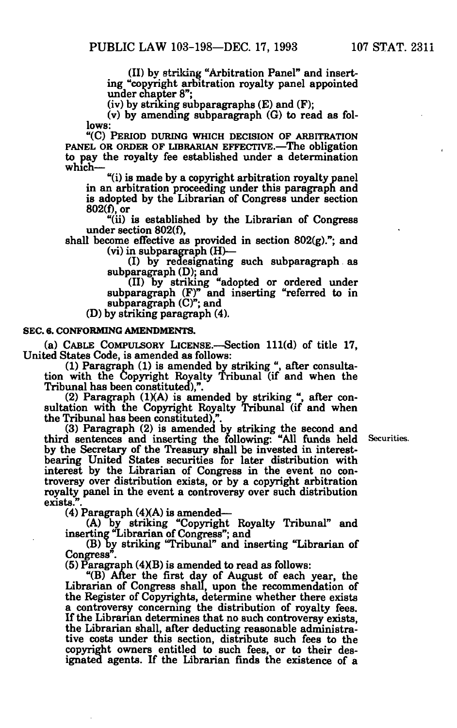(II) by striking "Arbitration Panel" and inserting "copyright arbitration royalty panel appointed under chapter 8";

 $(iv)$  by striking subparagraphs  $(E)$  and  $(F)$ ;

(v) by amending subparagraph (G) to read as follows:

"(C) PERIOD DURING WHICH DECISION OF ARBITRATION **PANEL OR ORDER OF LIBRARIAN EFFECTIVE.—The obligation**  to pay the royalty fee established under a determination which—

"(i) is made by a copyright arbitration royalty panel in an arbitration proceeding under this paragraph and is adopted by the Librarian of Congress under section 802(f), or

"(ii) is established by the Librarian of Congress under section 802(f),

shall become effective as provided in section  $802(g)$ ."; and (vi) in subparagraph (H)—

(I) by redesignating such subparagraph as subparagraph (D); and

(II) by striking "adopted or ordered under subparagraph (F)" and inserting "referred to in subparagraph (C)"; and

(D) by striking paragraph (4).

#### **SEC. 6. CONFORMING AMENDMENTS.**

(a) CABLE COMPULSORY LICENSE.—Section 111(d) of title 17, United States Code, is amended as follows:

(1) Paragraph (1) is amended by striking ", after consultation with the Copyright Royalty Tribunal (if and when the Tribunal has been constituted),".

(2) Paragraph (1XA) is amended by striking ", after consultation with the Copyright Royalty Tribunal (if and when the Tribunal has been constituted),".

(3) Paragraph (2) is amended by striking the second and third sentences and inserting the following: "All funds held Securities. by the Secretary of the Treasury shall be invested in interestbearing United States securities for later distribution with interest by the Librarian of Congress in the event no controversy over distribution exists, or by a copyright arbitration royalty panel in the event a controversy over such distribution exists.

(4) Paragraph  $(4)(A)$  is amended—

(A) by striking "Copyright Royalty Tribunal" and inserting "Librarian of Congress"; and

(B) by striking "Tribunal" and inserting "Librarian of Congress".

 $(5)$  Paragraph  $(4)(B)$  is amended to read as follows:

"(B) After the first day of August of each year, the Librarian of Congress shall, upon the recommendation of the Register of Copyrights, determine whether there exists a controversy concerning the distribution of royalty fees. If the Librarian determines that no such controversy exists, the Librarian shall, after deducting reasonable administrative costs under this section, distribute such fees to the copyright owners entitled to such fees, or to their designated agents. If the Librarian finds the existence of a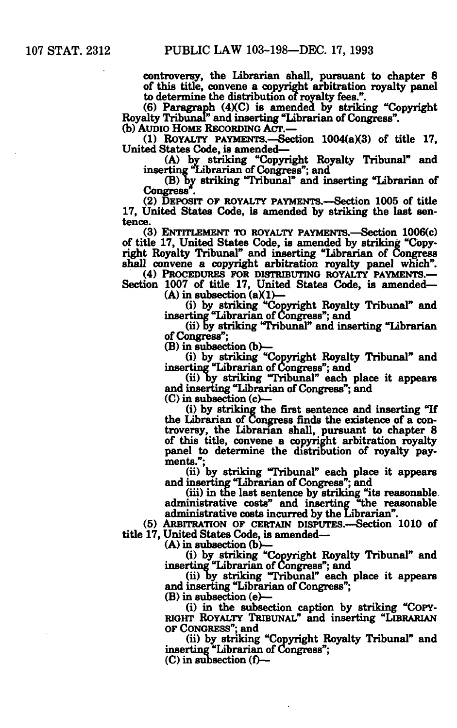**controversy, the Librarian shall, pursuant to chapter 8 of this title, convene a copyright arbitration royalty panel to determine the distribution of royalty fees.".** 

**(6) Paragraph (4XC) is amended by striking "Copyright Royalty Tribunal'' and inserting "Librarian of Congress". (b) AUDIO HOME RECORDING ACT.—** 

(1) ROYALTY PAYMENTS.—Section 1004(a)(3) of title 17, **United States Code, is amended—** 

**(A) by striking "Copyright Royalty Tribunal" and inserting 'librarian of Congress"; and** 

**(B) by striking "Tribunal" and inserting "librarian of**  Congress".

**(2) DEPOSIT OF ROYALTY PAYMENTS.—Section 1005 of title 17, United States Code, is amended by striking the last sentence.** 

**(3) ENTITLEMENT TO ROYALTY PAYMENTS.—Section 1006(c) of title 17, United States Code, is amended by striking "Copyright Royalty Tribunal" and inserting "librarian of Congress shall convene a copyright arbitration royalty panel which".** 

**(4) PROCEDURES FOR DISTRIBUTING ROYALTY PAYMENTS.— Section 1007 of title 17, United States Code, is amended—** 

 $(A)$  in subsection  $(a)(1)$ 

**(i) by striking "Copyright Royalty Tribunal" and inserting "librarian of Congress"; and** 

**(ii) by striking "Tribunal" and inserting "librarian of Congress";** 

**(B) in subsection (b)—** 

**(i) by striking "Copyright Royalty Tribunal" and inserting "librarian of Congress"; and** 

**(ii) Dy striking Tribunal" each place it appears and inserting "librarian of Congress"; and** 

**(C) in subsection (c)—** 

**(i) by striking the first sentence and inserting "If the librarian of Congress finds the existence of a controversy, the Librarian shall, pursuant to chapter 8 of this title, convene a copyright arbitration royalty panel to determine the distribution of royalty payments.";** 

**(ii) by striking "Tribunal" each place it appears and inserting "librarian of Congress"; and** 

**(iii) in the last sentence by striking "its reasonable, administrative costs" and inserting "the reasonable administrative costs incurred by the Librarian".** 

**(5) ARBITRATION OF CERTAIN DISPUTES.—Section 1010 of title 17, United States Code, is amended—** 

**(A) in subsection (b>—** 

**(i) by striking "Copyright Royalty Tribunal" and inserting "librarian of Congress"; and** 

**(ii) by striking Tribunal" each place it appears and inserting "librarian of Congress";** 

**(B) in subsection (e)—** 

**(i) in the subsection caption by striking "COPY-RIGHT ROYALTY TRIBUNAL" and inserting "LIBRARIAN OF CONGRESS"; and** 

**(ii) by striking "Copyright Royalty Tribunal" and inserting "Librarian of Congress";** 

**(C) in subsection (f)—**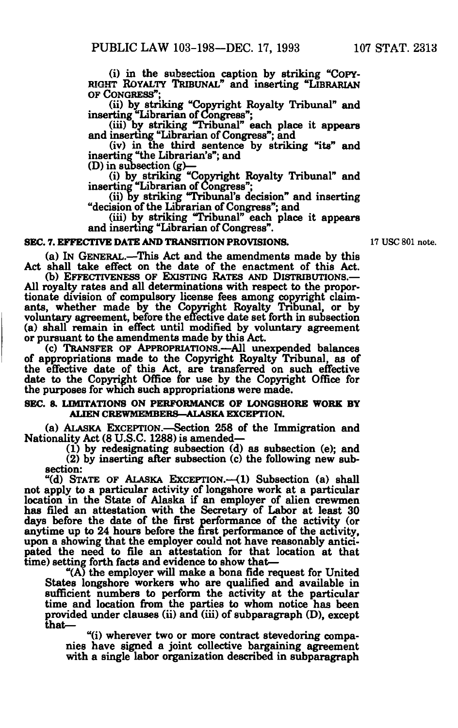**(i) in the subsection caption by striking "COPY-RIGHT ROYALTY TRIBUNAL" and inserting "LIBRARIAN OF CONGRESS";** 

**(ii) by striking "Copyright Royalty Tribunal" and inserting "Librarian of Congress";** 

**(iii) by striking "Tribunal" each place it appears and inserting "Librarian of Congress"; and** 

**(iv) in the third sentence by striking "its" and inserting "the Librarian's"; and** 

**(D) in subsection (g)—** 

**(i) by striking "Copyright Royalty Tribunal" and inserting "Librarian of Congress";** 

**(ii) by striking "Tribunal's decision" and inserting "decision of the Librarian of Congress"; and** 

**(iii) by striking "Tribunal" each place it appears and inserting "Librarian of Congress".** 

# **SEC. 7. EFFECTIVE DATE AND TRANSITION PROVISIONS.** 17 USC 801 note.

**(a) IN GENERAL.—This Act and the amendments made by this Act shall take effect on the date of the enactment of this Act.** 

(b) EFFECTIVENESS OF EXISTING RATES AND DISTRIBUTIONS.— **All royalty rates and all determinations with respect to the proportionate division of compulsory license fees among copyright claimants, whether made by the Copyright Royalty Tribunal, or by voluntary agreement, before the effective date set forth in subsection (a) shall remain in effect until modified by voluntary agreement or pursuant to the amendments made by this Act.** 

**(c) TRANSFER OF APPROPRIATIONS.—All unexpended balances of appropriations made to the Copyright Royalty Tribunal, as of the effective date of this Act, are transferred on such effective date to the Copyright Office for use by the Copyright Office for the purposes for which such appropriations were made.** 

### SEC. **8. LIMITATIONS ON PERFORMANCE OF LONGSHORE WORK BY AUEN CREWMEMBERS—ALASKA EXCEPTION.**

**(a) ALASKA EXCEPTION.—Section 258 of the Immigration and Nationality Act (8 U.S.C. 1288) is amended—** 

**(1) by redesignating subsection (d) as subsection (e); and (2) by inserting after subsection (c) the following new subsection:** 

**"(d) STATE OF ALASKA EXCEPTION.—(1) Subsection (a) shall not apply to a particular activity of longshore work at a particular location in the State of Alaska if an employer of alien crewmen has filed an attestation with the Secretary of Labor at least 30 days before the date of the first performance of the activity (or anytime up to 24 hours before the first performance of the activity, upon a showing that the employer could not have reasonably anticipated the need to file an attestation for that location at that time) setting forth facts and evidence to show that—** 

**"(A) the employer will make a bona fide request for United States longshore workers who are qualified and available in sufficient numbers to perform the activity at the particular time and location from the parties to whom notice has been provided under clauses (ii) and (iii) of subparagraph (D), except that—** 

**"(i) wherever two or more contract stevedoring companies have signed a joint collective bargaining agreement with a single labor organization described in subparagraph**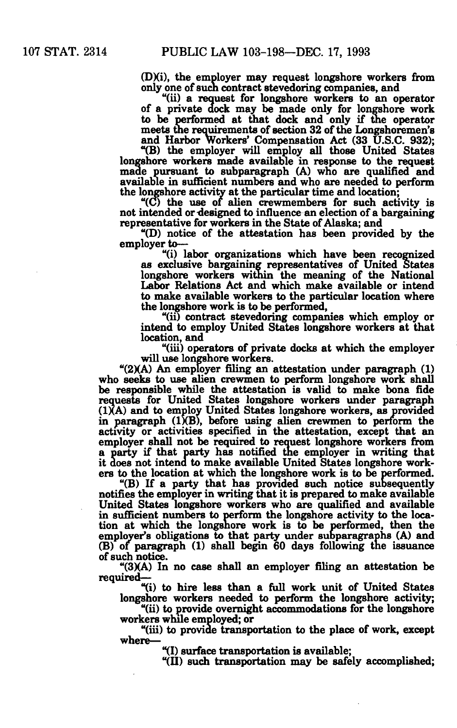**(DXi), the employer may request longshore workers from only one of such contract stevedoring companies, and** 

**"(ii) a request for longshore workers to an operator of a private dock may be made only for longshore work to be performed at that dock and only if the operator meets the requirements of section 32 of the Longshoremen's and Harbor Workers' Compensation Act (33 U.S.C. 932);** 

**"(B) the employer will employ all those United States longshore workers made available in response to the request made pursuant to subparagraph (A) who are qualified and available in sufficient numbers and who are needed to perform the longshore activity at the particular time and location;** 

**"(C) the use of alien crewmembers for such activity is not intended or-designed to influence an election of a bargaining representative for workers in the State of Alaska; and** 

**"(D) notice of the attestation has been provided by the employer to—** 

**"(i) labor organizations which have been recognized as exclusive bargaining representatives of United States longshore workers within the meaning of the National Labor Relations Act and which make available or intend to make available workers to the particular location where the longshore work is to be performed,** 

**"(ii) contract stevedoring companies which employ or intend to employ United States longshore workers at that location, and** 

**"(iii) operators of private docks at which the employer will use longshore workers.** 

**"(2XA) An employer filing an attestation under paragraph (1) who seeks to use alien crewmen to perform longshore work shall be responsible while the attestation is valid to make bona fide requests for United States longshore workers under paragraph**  (1)(A) and to employ United States longshore workers, as provided **in paragraph (1XB), before using alien crewmen to perform the activity or activities specified in the attestation, except that an employer shall not be required to request longshore workers from a party if that party has notified the employer in writing that it does not intend to make available United States longshore workers to the location at which the longshore work is to be performed.** 

**"(B) If a party that has provided such notice subsequently notifies the employer in writing that it is prepared to make available United States longshore workers who are qualified and available in sufficient numbers to perform the longshore activity to the location at which the longshore work is to be performed, then the employer's obligations to that party under subparagraphs (A) and (B) of paragraph (1) shall begin 60 days following the issuance of such notice.** 

**"(3XA) In no case shall an employer filing an attestation be required—** 

**"(i) to hire less than a full work unit of United States longshore workers needed to perform the longshore activity;** 

**"(ii) to provide overnight accommodations for the longshore workers while employed; or** 

**"(iii) to provide transportation to the place of work, except where—** 

**"(I) surface transportation is available;** 

**"(II) such transportation may be safely accomplished;**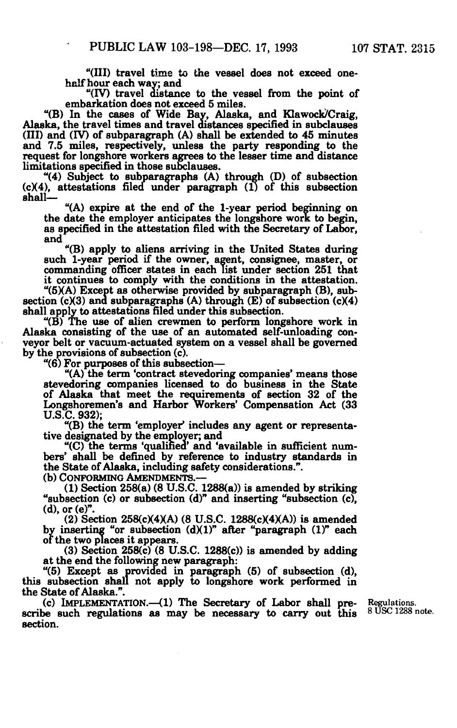**"(III) travel time to the vessel does not exceed onehalf hour each way; and** 

**"(IV) travel distance to the vessel from the point of embarkation does not exceed 5 miles.** 

**"(B) In the cases of Wide Bay, Alaska, and Klawock/Craig, Alaska, the travel times and travel distances specified in subclauses (III) and (IV) of subparagraph (A) shall be extended to 45 minutes and 7.5 miles, respectively, unless the party responding to the request for longshore workers agrees to the lesser time and distance limitations specified in those subclauses.** 

**"(4) Subject to subparagraphs (A) through (D) of subsection (c)(4), attestations filed under paragraph (1) of this subsection shall—** 

**"(A) expire at the end of the 1-year period beginning on the date the employer anticipates the longshore work to begin, as specified in the attestation filed with the Secretary of Labor, and** 

**"(B) apply to aliens arriving in the United States during such 1-year period if the owner, agent, consignee, master, or commanding officer states in each list under section 251 that it continues to comply with the conditions in the attestation.** 

**"(5XA) Except as otherwise provided by subparagraph (B), sub**section  $(c)(3)$  and subparagraphs  $(A)$  through  $(E)$  of subsection  $(c)(4)$ **shall apply to attestations filed under this subsection.** 

**"(B) The use of alien crewmen to perform longshore work in Alaska consisting of the use of an automated self-unloading conveyor belt or vacuum-actuated system on a vessel shall be governed by the provisions of subsection (c).** 

**"(6) For purposes of this subsection—** 

**"(A) the term 'contract stevedoring companies' means those stevedoring companies licensed to do business in the State of Alaska that meet the requirements of section 32 of the Longshoremen's and Harbor Workers' Compensation Act (33 U.S.C. 932);** 

**"(B) the term 'employer' includes any agent or representative designated by the employer; and** 

**"(C) the terms 'qualified' and 'available in sufficient numbers' shall be defined by reference to industry standards in the State of Alaska, including safety considerations.".** 

**(b) CONFORMING AMENDMENTS.—** 

**(1) Section 258(a) (8 U.S.C. 1288(a)) is amended by striking "subsection (c) or subsection (d)" and inserting "subsection (c), (d),or(e)".** 

(2) Section 258(c)(4)(A) (8 U.S.C. 1288(c)(4)(A)) is amended by inserting "or subsection (d)(1)" after "paragraph (1)" each **or the two places it appears.** 

**(3) Section 258(c) (8 U.S.C. 1288(c)) is amended by adding at the end the following new paragraph:** 

**"(5) Except as provided in paragraph (5) of subsection (d), this subsection shall not apply to longshore work performed in the State of Alaska.".** 

**(c) IMPLEMENTATION.—(1) The Secretary of Labor shall pre- Regulations. scribe such regulations as may be necessary to carry out this section.** 

 **8 us c 1288 note**